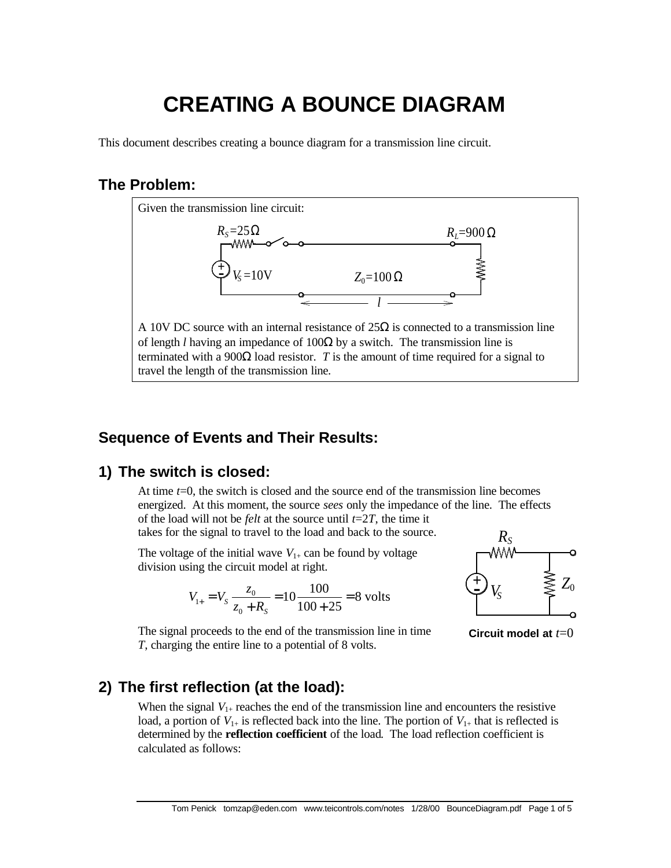# **CREATING A BOUNCE DIAGRAM**

This document describes creating a bounce diagram for a transmission line circuit.

### **The Problem:**



## **Sequence of Events and Their Results:**

# **1) The switch is closed:**

At time *t*=0, the switch is closed and the source end of the transmission line becomes energized. At this moment, the source *sees* only the impedance of the line. The effects of the load will not be *felt* at the source until *t*=2*T*, the time it takes for the signal to travel to the load and back to the source.

The voltage of the initial wave  $V_{1+}$  can be found by voltage division using the circuit model at right.

$$
V_{1+} = V_s \frac{z_0}{z_0 + R_s} = 10 \frac{100}{100 + 25} = 8
$$
 volts



**Circuit model at** *t*=0

The signal proceeds to the end of the transmission line in time *T*, charging the entire line to a potential of 8 volts.

# **2) The first reflection (at the load):**

When the signal  $V_{1+}$  reaches the end of the transmission line and encounters the resistive load, a portion of  $V_{1+}$  is reflected back into the line. The portion of  $V_{1+}$  that is reflected is determined by the **reflection coefficient** of the load. The load reflection coefficient is calculated as follows: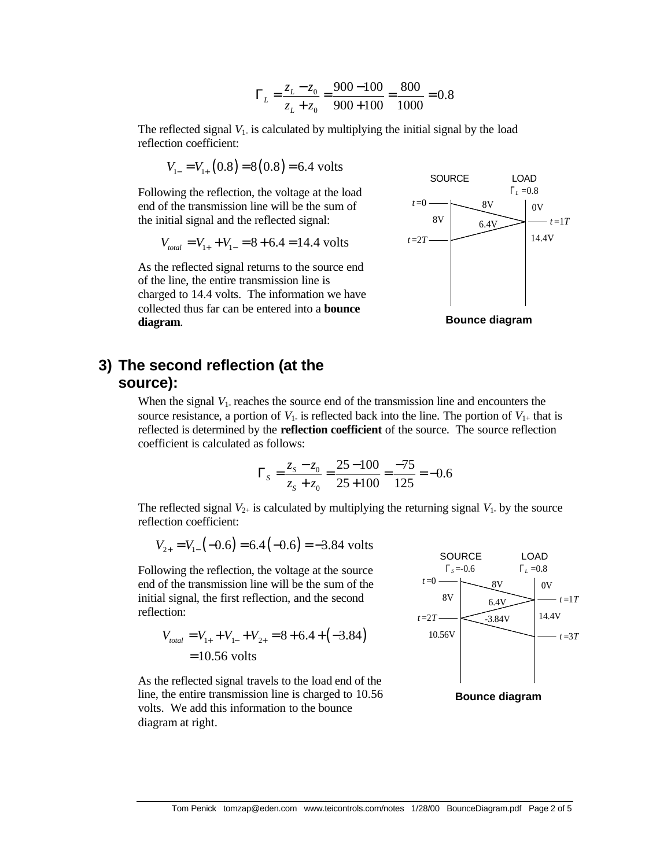$$
\Gamma_L = \frac{z_L - z_0}{z_L + z_0} = \frac{900 - 100}{900 + 100} = \frac{800}{1000} = 0.8
$$

The reflected signal  $V_1$  is calculated by multiplying the initial signal by the load reflection coefficient:

$$
V_{1-} = V_{1+} (0.8) = 8(0.8) = 6.4
$$
 volts

Following the reflection, the voltage at the load end of the transmission line will be the sum of the initial signal and the reflected signal:

$$
V_{total} = V_{1+} + V_{1-} = 8 + 6.4 = 14.4
$$
 volts

As the reflected signal returns to the source end of the line, the entire transmission line is charged to 14.4 volts. The information we have collected thus far can be entered into a **bounce diagram**.



**Bounce diagram**

#### **3) The second reflection (at the source):**

When the signal  $V_1$  reaches the source end of the transmission line and encounters the source resistance, a portion of  $V_1$  is reflected back into the line. The portion of  $V_{1+}$  that is reflected is determined by the **reflection coefficient** of the source. The source reflection coefficient is calculated as follows:

$$
\Gamma_s = \frac{z_s - z_0}{z_s + z_0} = \frac{25 - 100}{25 + 100} = \frac{-75}{125} = -0.6
$$

The reflected signal  $V_{2+}$  is calculated by multiplying the returning signal  $V_1$  by the source reflection coefficient:

$$
V_{2+} = V_{1-}(-0.6) = 6.4(-0.6) = -3.84
$$
 volts

Following the reflection, the voltage at the source end of the transmission line will be the sum of the initial signal, the first reflection, and the second reflection:

$$
V_{total} = V_{1+} + V_{1-} + V_{2+} = 8 + 6.4 + (-3.84)
$$
  
= 10.56 volts

LOAD  $_L = 0.8$ 8V 10.56V  $t = 2T$ 6.4V -3.84V 8V  $t = 0$ **SOURCE**  $Γ_s = -0.6$  $0V$ *t* =1*T* 14.4V *t* =3*T* **Bounce diagram**

As the reflected signal travels to the load end of the line, the entire transmission line is charged to 10.56 volts. We add this information to the bounce diagram at right.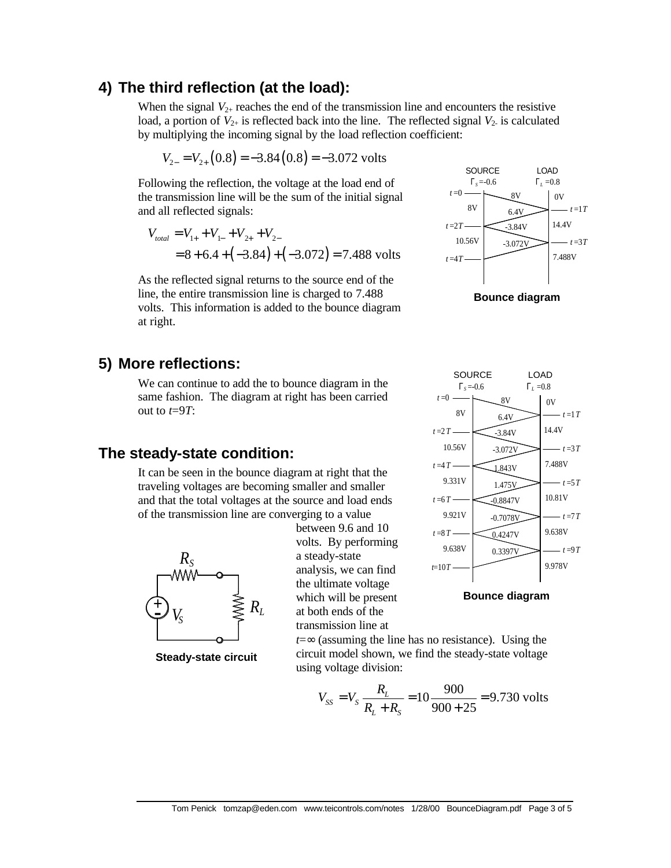#### **4) The third reflection (at the load):**

When the signal  $V_{2+}$  reaches the end of the transmission line and encounters the resistive load, a portion of  $V_{2+}$  is reflected back into the line. The reflected signal  $V_2$  is calculated by multiplying the incoming signal by the load reflection coefficient:

$$
V_{2-} = V_{2+}(0.8) = -3.84(0.8) = -3.072
$$
 volts

Following the reflection, the voltage at the load end of the transmission line will be the sum of the initial signal and all reflected signals:

$$
V_{total} = V_{1+} + V_{1-} + V_{2+} + V_{2-}
$$
  
= 8 + 6.4 + (-3.84) + (-3.072) = 7.488 volts

As the reflected signal returns to the source end of the line, the entire transmission line is charged to 7.488 volts. This information is added to the bounce diagram at right.

# **5) More reflections:**

We can continue to add the to bounce diagram in the same fashion. The diagram at right has been carried out to *t*=9*T*:

#### **The steady-state condition:**

It can be seen in the bounce diagram at right that the traveling voltages are becoming smaller and smaller and that the total voltages at the source and load ends of the transmission line are converging to a value



**Steady-state circuit**

between 9.6 and 10 volts. By performing a steady-state analysis, we can find the ultimate voltage which will be present at both ends of the transmission line at

*t*=∞ (assuming the line has no resistance). Using the circuit model shown, we find the steady-state voltage using voltage division:

$$
V_{ss} = V_s \frac{R_L}{R_L + R_s} = 10 \frac{900}{900 + 25} = 9.730
$$
 volts







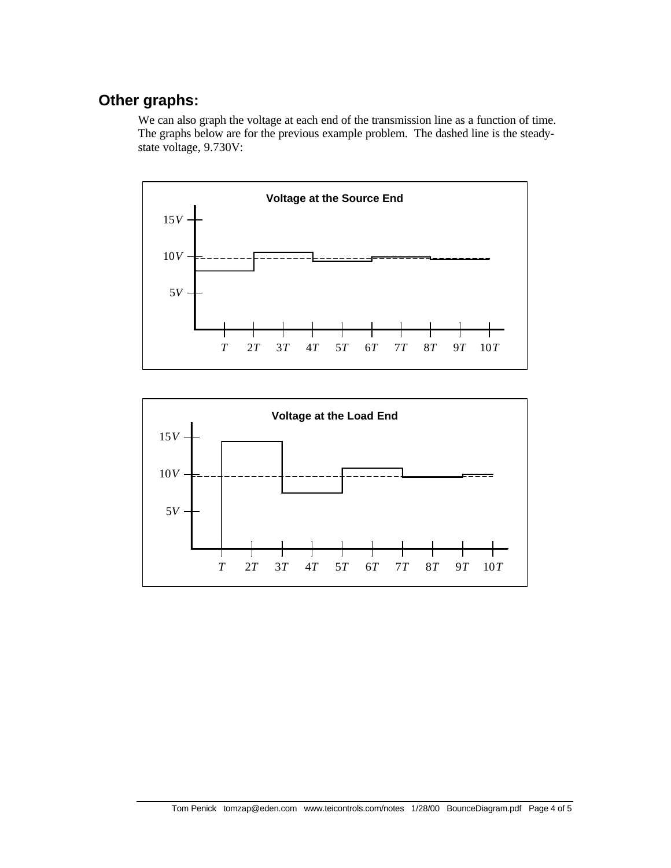# **Other graphs:**

We can also graph the voltage at each end of the transmission line as a function of time. The graphs below are for the previous example problem. The dashed line is the steadystate voltage, 9.730V: